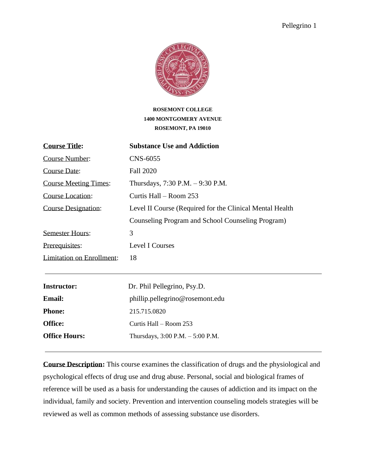

# **ROSEMONT COLLEGE 1400 MONTGOMERY AVENUE ROSEMONT, PA 19010**

| <b>Course Title:</b>             | <b>Substance Use and Addiction</b>                       |  |
|----------------------------------|----------------------------------------------------------|--|
| <b>Course Number:</b>            | CNS-6055                                                 |  |
| Course Date:                     | <b>Fall 2020</b>                                         |  |
| <b>Course Meeting Times:</b>     | Thursdays, 7:30 P.M. - 9:30 P.M.                         |  |
| <b>Course Location:</b>          | Curtis Hall – Room 253                                   |  |
| <b>Course Designation:</b>       | Level II Course (Required for the Clinical Mental Health |  |
|                                  | Counseling Program and School Counseling Program)        |  |
| <b>Semester Hours:</b>           | 3                                                        |  |
| Prerequisites:                   | Level I Courses                                          |  |
| <b>Limitation on Enrollment:</b> | 18                                                       |  |
| <b>Instructor:</b>               | Dr. Phil Pellegrino, Psy.D.                              |  |
|                                  |                                                          |  |
| <b>Email:</b>                    | phillip.pellegrino@rosemont.edu                          |  |
| <b>Phone:</b>                    | 215.715.0820                                             |  |
| Office:                          | Curtis Hall – Room 253                                   |  |
| <b>Office Hours:</b>             | Thursdays, $3:00$ P.M. $-5:00$ P.M.                      |  |

**Course Description:** This course examines the classification of drugs and the physiological and psychological effects of drug use and drug abuse. Personal, social and biological frames of reference will be used as a basis for understanding the causes of addiction and its impact on the individual, family and society. Prevention and intervention counseling models strategies will be reviewed as well as common methods of assessing substance use disorders.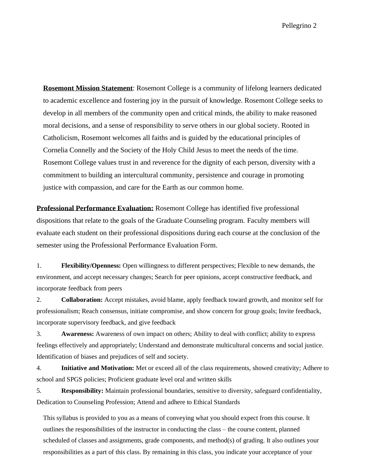**Rosemont Mission Statement**: Rosemont College is a community of lifelong learners dedicated to academic excellence and fostering joy in the pursuit of knowledge. Rosemont College seeks to develop in all members of the community open and critical minds, the ability to make reasoned moral decisions, and a sense of responsibility to serve others in our global society. Rooted in Catholicism, Rosemont welcomes all faiths and is guided by the educational principles of Cornelia Connelly and the Society of the Holy Child Jesus to meet the needs of the time. Rosemont College values trust in and reverence for the dignity of each person, diversity with a commitment to building an intercultural community, persistence and courage in promoting justice with compassion, and care for the Earth as our common home.

**Professional Performance Evaluation:** Rosemont College has identified five professional dispositions that relate to the goals of the Graduate Counseling program. Faculty members will evaluate each student on their professional dispositions during each course at the conclusion of the semester using the Professional Performance Evaluation Form.

1. **Flexibility/Openness:** Open willingness to different perspectives; Flexible to new demands, the environment, and accept necessary changes; Search for peer opinions, accept constructive feedback, and incorporate feedback from peers

2. **Collaboration:** Accept mistakes, avoid blame, apply feedback toward growth, and monitor self for professionalism; Reach consensus, initiate compromise, and show concern for group goals; Invite feedback, incorporate supervisory feedback, and give feedback

3. **Awareness:** Awareness of own impact on others; Ability to deal with conflict; ability to express feelings effectively and appropriately; Understand and demonstrate multicultural concerns and social justice. Identification of biases and prejudices of self and society.

4. **Initiative and Motivation:** Met or exceed all of the class requirements, showed creativity; Adhere to school and SPGS policies; Proficient graduate level oral and written skills

5. **Responsibility:** Maintain professional boundaries, sensitive to diversity, safeguard confidentiality, Dedication to Counseling Profession; Attend and adhere to Ethical Standards

This syllabus is provided to you as a means of conveying what you should expect from this course. It outlines the responsibilities of the instructor in conducting the class – the course content, planned scheduled of classes and assignments, grade components, and method(s) of grading. It also outlines your responsibilities as a part of this class. By remaining in this class, you indicate your acceptance of your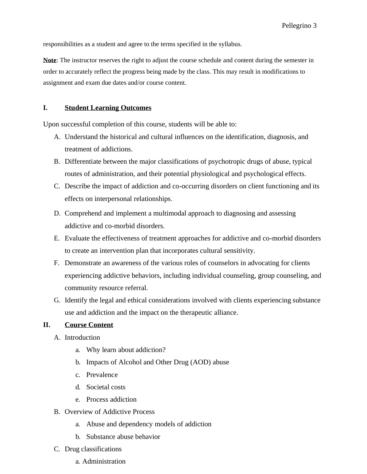responsibilities as a student and agree to the terms specified in the syllabus.

**Note**: The instructor reserves the right to adjust the course schedule and content during the semester in order to accurately reflect the progress being made by the class. This may result in modifications to assignment and exam due dates and/or course content.

#### **I. Student Learning Outcomes**

Upon successful completion of this course, students will be able to:

- A. Understand the historical and cultural influences on the identification, diagnosis, and treatment of addictions.
- B. Differentiate between the major classifications of psychotropic drugs of abuse, typical routes of administration, and their potential physiological and psychological effects.
- C. Describe the impact of addiction and co-occurring disorders on client functioning and its effects on interpersonal relationships.
- D. Comprehend and implement a multimodal approach to diagnosing and assessing addictive and co-morbid disorders.
- E. Evaluate the effectiveness of treatment approaches for addictive and co-morbid disorders to create an intervention plan that incorporates cultural sensitivity.
- F. Demonstrate an awareness of the various roles of counselors in advocating for clients experiencing addictive behaviors, including individual counseling, group counseling, and community resource referral.
- G. Identify the legal and ethical considerations involved with clients experiencing substance use and addiction and the impact on the therapeutic alliance.

#### **II. Course Content**

- A. Introduction
	- a. Why learn about addiction?
	- b. Impacts of Alcohol and Other Drug (AOD) abuse
	- c. Prevalence
	- d. Societal costs
	- e. Process addiction
- B. Overview of Addictive Process
	- a. Abuse and dependency models of addiction
	- b. Substance abuse behavior
- C. Drug classifications
	- a. Administration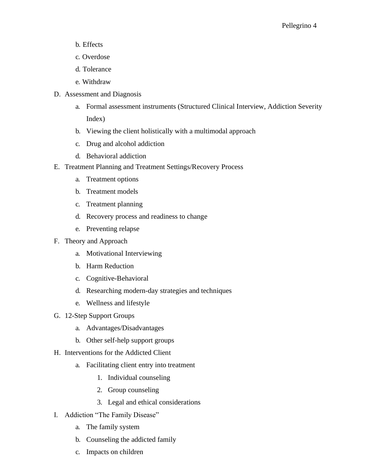- b. Effects
- c. Overdose
- d. Tolerance
- e. Withdraw
- D. Assessment and Diagnosis
	- a. Formal assessment instruments (Structured Clinical Interview, Addiction Severity Index)
	- b. Viewing the client holistically with a multimodal approach
	- c. Drug and alcohol addiction
	- d. Behavioral addiction
- E. Treatment Planning and Treatment Settings/Recovery Process
	- a. Treatment options
	- b. Treatment models
	- c. Treatment planning
	- d. Recovery process and readiness to change
	- e. Preventing relapse
- F. Theory and Approach
	- a. Motivational Interviewing
	- b. Harm Reduction
	- c. Cognitive-Behavioral
	- d. Researching modern-day strategies and techniques
	- e. Wellness and lifestyle
- G. 12-Step Support Groups
	- a. Advantages/Disadvantages
	- b. Other self-help support groups
- H. Interventions for the Addicted Client
	- a. Facilitating client entry into treatment
		- 1. Individual counseling
		- 2. Group counseling
		- 3. Legal and ethical considerations
- I. Addiction "The Family Disease"
	- a. The family system
	- b. Counseling the addicted family
	- c. Impacts on children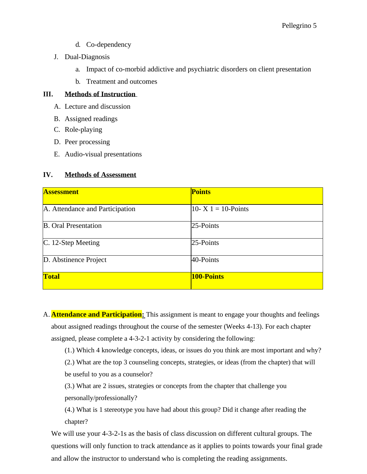- d. Co-dependency
- J. Dual-Diagnosis
	- a. Impact of co-morbid addictive and psychiatric disorders on client presentation
	- b. Treatment and outcomes

# **III. Methods of Instruction**

- A. Lecture and discussion
- B. Assigned readings
- C. Role-playing
- D. Peer processing
- E. Audio-visual presentations

# **IV. Methods of Assessment**

| <b>Assessment</b>               | <b>Points</b>          |
|---------------------------------|------------------------|
| A. Attendance and Participation | 10- X $1 = 10$ -Points |
| <b>B.</b> Oral Presentation     | 25-Points              |
| C. 12-Step Meeting              | 25-Points              |
| D. Abstinence Project           | 40-Points              |
| <b>Total</b>                    | 100-Points             |

A. **Attendance and Participation:** This assignment is meant to engage your thoughts and feelings about assigned readings throughout the course of the semester (Weeks 4-13). For each chapter assigned, please complete a 4-3-2-1 activity by considering the following:

(1.) Which 4 knowledge concepts, ideas, or issues do you think are most important and why?

(2.) What are the top 3 counseling concepts, strategies, or ideas (from the chapter) that will be useful to you as a counselor?

(3.) What are 2 issues, strategies or concepts from the chapter that challenge you personally/professionally?

(4.) What is 1 stereotype you have had about this group? Did it change after reading the chapter?

We will use your 4-3-2-1s as the basis of class discussion on different cultural groups. The questions will only function to track attendance as it applies to points towards your final grade and allow the instructor to understand who is completing the reading assignments.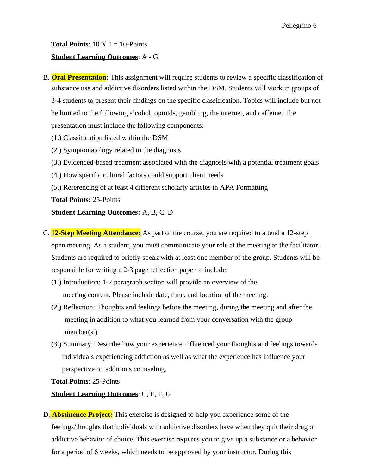**Total Points**:  $10 \text{ X } 1 = 10$ -Points **Student Learning Outcomes**: A - G

- B. **Oral Presentation:** This assignment will require students to review a specific classification of substance use and addictive disorders listed within the DSM. Students will work in groups of 3-4 students to present their findings on the specific classification. Topics will include but not be limited to the following alcohol, opioids, gambling, the internet, and caffeine. The presentation must include the following components:
	- (1.) Classification listed within the DSM
	- (2.) Symptomatology related to the diagnosis
	- (3.) Evidenced-based treatment associated with the diagnosis with a potential treatment goals
	- (4.) How specific cultural factors could support client needs
	- (5.) Referencing of at least 4 different scholarly articles in APA Formatting

**Total Points:** 25-Points

#### **Student Learning Outcomes:** A, B, C, D

- C. **12-Step Meeting Attendance:** As part of the course, you are required to attend a 12-step open meeting. As a student, you must communicate your role at the meeting to the facilitator. Students are required to briefly speak with at least one member of the group. Students will be responsible for writing a 2-3 page reflection paper to include:
	- (1.) Introduction: 1-2 paragraph section will provide an overview of the meeting content. Please include date, time, and location of the meeting.
	- (2.) Reflection: Thoughts and feelings before the meeting, during the meeting and after the meeting in addition to what you learned from your conversation with the group member(s.)
	- (3.) Summary: Describe how your experience influenced your thoughts and feelings towards individuals experiencing addiction as well as what the experience has influence your perspective on additions counseling.

**Total Points**: 25-Points

**Student Learning Outcomes**: C, E, F, G

D. **Abstinence Project:** This exercise is designed to help you experience some of the feelings/thoughts that individuals with addictive disorders have when they quit their drug or addictive behavior of choice. This exercise requires you to give up a substance or a behavior for a period of 6 weeks, which needs to be approved by your instructor. During this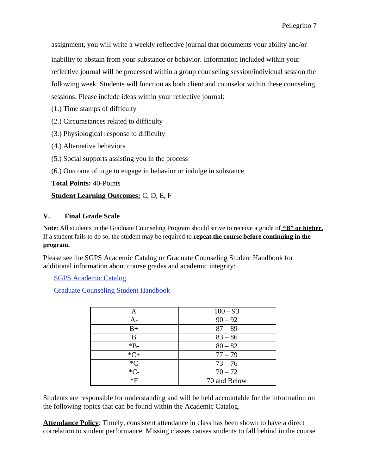assignment, you will write a weekly reflective journal that documents your ability and/or inability to abstain from your substance or behavior. Information included within your reflective journal will be processed within a group counseling session/individual session the following week. Students will function as both client and counselor within these counseling sessions. Please include ideas within your reflective journal:

- (1.) Time stamps of difficulty
- (2.) Circumstances related to difficulty
- (3.) Physiological response to difficulty
- (4.) Alternative behaviors
- (5.) Social supports assisting you in the process
- (6.) Outcome of urge to engage in behavior or indulge in substance

**Total Points:** 40-Points

#### **Student Learning Outcomes:** C, D, E, F

# **V. Final Grade Scale**

**Note**: All students in the Graduate Counseling Program should strive to receive a grade of **"B" or higher.** If a student fails to do so, the student may be required to **repeat the course before continuing in the program.**

Please see the SGPS Academic Catalog or Graduate Counseling Student Handbook for additional information about course grades and academic integrity:

SGPS Academic Catalog

Graduate Counseling Student Handbook

| Α      | $100 - 93$   |
|--------|--------------|
| A-     | $90 - 92$    |
| $B+$   | $87 - 89$    |
| B      | $83 - 86$    |
| $*B-$  | $80 - 82$    |
| $*C+$  | $77 - 79$    |
| $C^*C$ | $73 - 76$    |
| $*C-$  | $70 - 72$    |
| $*F$   | 70 and Below |

Students are responsible for understanding and will be held accountable for the information on the following topics that can be found within the Academic Catalog.

**Attendance Policy**: Timely, consistent attendance in class has been shown to have a direct correlation to student performance. Missing classes causes students to fall behind in the course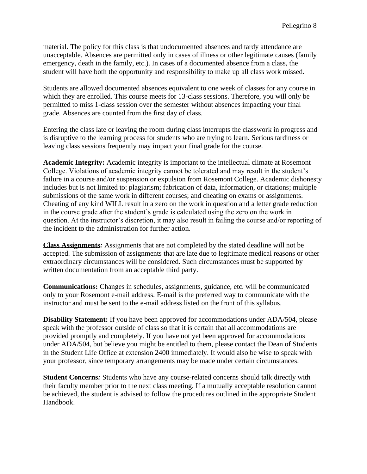material. The policy for this class is that undocumented absences and tardy attendance are unacceptable. Absences are permitted only in cases of illness or other legitimate causes (family emergency, death in the family, etc.). In cases of a documented absence from a class, the student will have both the opportunity and responsibility to make up all class work missed.

Students are allowed documented absences equivalent to one week of classes for any course in which they are enrolled. This course meets for 13-class sessions. Therefore, you will only be permitted to miss 1-class session over the semester without absences impacting your final grade. Absences are counted from the first day of class.

Entering the class late or leaving the room during class interrupts the classwork in progress and is disruptive to the learning process for students who are trying to learn. Serious tardiness or leaving class sessions frequently may impact your final grade for the course.

**Academic Integrity:** Academic integrity is important to the intellectual climate at Rosemont College. Violations of academic integrity cannot be tolerated and may result in the student's failure in a course and/or suspension or expulsion from Rosemont College. Academic dishonesty includes but is not limited to: plagiarism; fabrication of data, information, or citations; multiple submissions of the same work in different courses; and cheating on exams or assignments. Cheating of any kind WILL result in a zero on the work in question and a letter grade reduction in the course grade after the student's grade is calculated using the zero on the work in question. At the instructor's discretion, it may also result in failing the course and/or reporting of the incident to the administration for further action.

**Class Assignments***:* Assignments that are not completed by the stated deadline will not be accepted. The submission of assignments that are late due to legitimate medical reasons or other extraordinary circumstances will be considered. Such circumstances must be supported by written documentation from an acceptable third party.

**Communications:** Changes in schedules, assignments, guidance, etc. will be communicated only to your Rosemont e-mail address. E-mail is the preferred way to communicate with the instructor and must be sent to the e-mail address listed on the front of this syllabus.

**Disability Statement:** If you have been approved for accommodations under ADA/504, please speak with the professor outside of class so that it is certain that all accommodations are provided promptly and completely. If you have not yet been approved for accommodations under ADA/504, but believe you might be entitled to them, please contact the Dean of Students in the Student Life Office at extension 2400 immediately. It would also be wise to speak with your professor, since temporary arrangements may be made under certain circumstances.

**Student Concerns***:* Students who have any course-related concerns should talk directly with their faculty member prior to the next class meeting. If a mutually acceptable resolution cannot be achieved, the student is advised to follow the procedures outlined in the appropriate Student Handbook.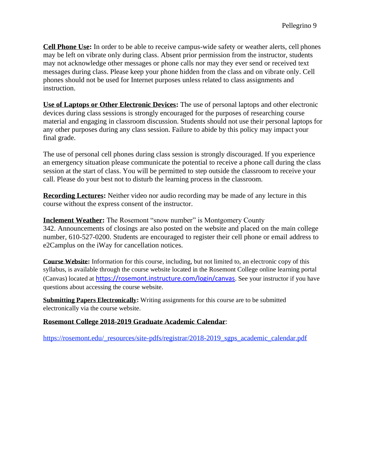**Cell Phone Use:** In order to be able to receive campus-wide safety or weather alerts, cell phones may be left on vibrate only during class. Absent prior permission from the instructor, students may not acknowledge other messages or phone calls nor may they ever send or received text messages during class. Please keep your phone hidden from the class and on vibrate only. Cell phones should not be used for Internet purposes unless related to class assignments and instruction.

**Use of Laptops or Other Electronic Devices:** The use of personal laptops and other electronic devices during class sessions is strongly encouraged for the purposes of researching course material and engaging in classroom discussion. Students should not use their personal laptops for any other purposes during any class session. Failure to abide by this policy may impact your final grade.

The use of personal cell phones during class session is strongly discouraged. If you experience an emergency situation please communicate the potential to receive a phone call during the class session at the start of class. You will be permitted to step outside the classroom to receive your call. Please do your best not to disturb the learning process in the classroom.

**Recording Lectures:** Neither video nor audio recording may be made of any lecture in this course without the express consent of the instructor.

**Inclement Weather:** The Rosemont "snow number" is Montgomery County 342. Announcements of closings are also posted on the website and placed on the main college number, 610-527-0200. Students are encouraged to register their cell phone or email address to e2Camplus on the iWay for cancellation notices.

**Course Website:** Information for this course, including, but not limited to, an electronic copy of this syllabus, is available through the course website located in the Rosemont College online learning portal (Canvas) located at <https://rosemont.instructure.com/login/canvas>. See your instructor if you have questions about accessing the course website.

**Submitting Papers Electronically:** Writing assignments for this course are to be submitted electronically via the course website.

#### **Rosemont College 2018-2019 Graduate Academic Calendar**:

[https://rosemont.edu/\\_resources/site-pdfs/registrar/2018-2019\\_sgps\\_academic\\_calendar.pdf](https://rosemont.edu/_resources/site-pdfs/registrar/2018-2019_sgps_academic_calendar.pdf)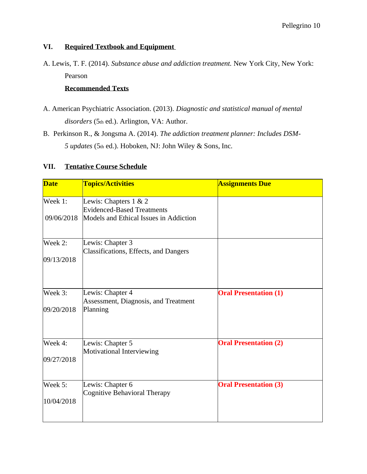# **VI. Required Textbook and Equipment**

A. Lewis, T. F. (2014). *Substance abuse and addiction treatment.* New York City, New York: Pearson

# **Recommended Texts**

- A. American Psychiatric Association. (2013). *Diagnostic and statistical manual of mental disorders* (5th ed.). Arlington, VA: Author.
- B. Perkinson R., & Jongsma A. (2014). *The addiction treatment planner: Includes DSM-5 updates* (5th ed.). Hoboken, NJ: John Wiley & Sons, Inc.

## **VII. Tentative Course Schedule**

| <b>Date</b> | <b>Topics/Activities</b>                                   | <b>Assignments Due</b>       |
|-------------|------------------------------------------------------------|------------------------------|
| Week 1:     | Lewis: Chapters 1 & 2<br><b>Evidenced-Based Treatments</b> |                              |
| 09/06/2018  | Models and Ethical Issues in Addiction                     |                              |
| Week 2:     | Lewis: Chapter 3<br>Classifications, Effects, and Dangers  |                              |
| 09/13/2018  |                                                            |                              |
| Week 3:     | Lewis: Chapter 4                                           | <b>Oral Presentation (1)</b> |
| 09/20/2018  | Assessment, Diagnosis, and Treatment<br>Planning           |                              |
| Week 4:     | Lewis: Chapter 5                                           | <b>Oral Presentation (2)</b> |
| 09/27/2018  | Motivational Interviewing                                  |                              |
| Week 5:     | Lewis: Chapter 6                                           | <b>Oral Presentation (3)</b> |
| 10/04/2018  | Cognitive Behavioral Therapy                               |                              |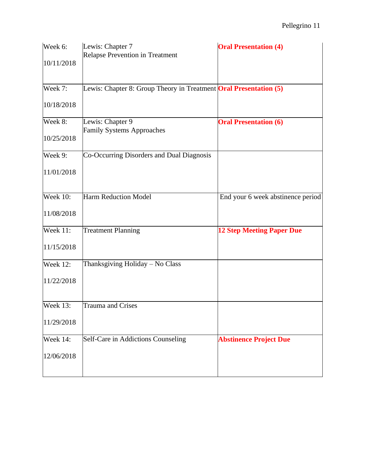| Week 6:         | Lewis: Chapter 7<br>Relapse Prevention in Treatment                      | <b>Oral Presentation (4)</b>      |
|-----------------|--------------------------------------------------------------------------|-----------------------------------|
| 10/11/2018      |                                                                          |                                   |
| Week 7:         | Lewis: Chapter 8: Group Theory in Treatment <b>Oral Presentation</b> (5) |                                   |
| 10/18/2018      |                                                                          |                                   |
| Week $8:$       | Lewis: Chapter 9                                                         | <b>Oral Presentation (6)</b>      |
| 10/25/2018      | <b>Family Systems Approaches</b>                                         |                                   |
| Week 9:         | Co-Occurring Disorders and Dual Diagnosis                                |                                   |
| 11/01/2018      |                                                                          |                                   |
| <b>Week 10:</b> | Harm Reduction Model                                                     | End your 6 week abstinence period |
| 11/08/2018      |                                                                          |                                   |
| Week 11:        | <b>Treatment Planning</b>                                                | <b>12 Step Meeting Paper Due</b>  |
| 11/15/2018      |                                                                          |                                   |
| <b>Week 12:</b> | Thanksgiving Holiday - No Class                                          |                                   |
| 11/22/2018      |                                                                          |                                   |
| <b>Week 13:</b> | <b>Trauma and Crises</b>                                                 |                                   |
| 11/29/2018      |                                                                          |                                   |
| Week 14:        | Self-Care in Addictions Counseling                                       | <b>Abstinence Project Due</b>     |
| 12/06/2018      |                                                                          |                                   |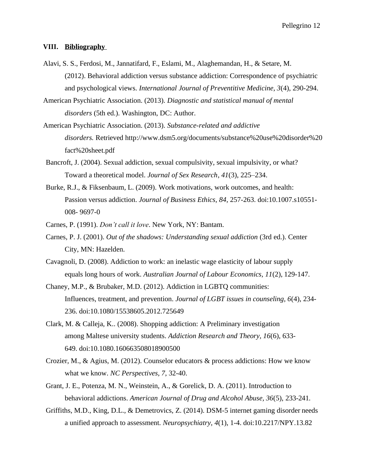#### **VIII. Bibliography**

- Alavi, S. S., Ferdosi, M., Jannatifard, F., Eslami, M., Alaghemandan, H., & Setare, M. (2012). Behavioral addiction versus substance addiction: Correspondence of psychiatric and psychological views. *International Journal of Preventitive Medicine, 3*(4), 290-294.
- American Psychiatric Association. (2013). *Diagnostic and statistical manual of mental disorders* (5th ed.). Washington, DC: Author.
- American Psychiatric Association. (2013). *Substance-related and addictive disorders.* Retriev[ed http://www.dsm5.org/documents/substance%20use%20disorder%20](http://www.dsm5.org/documents/substance%20use%20disorder) fact%20sheet.pdf
- Bancroft, J. (2004). Sexual addiction, sexual compulsivity, sexual impulsivity, or what? Toward a theoretical model. *Journal of Sex Research*, *41*(3), 225–234.
- Burke, R.J., & Fiksenbaum, L. (2009). Work motivations, work outcomes, and health: Passion versus addiction. *Journal of Business Ethics, 84*, 257-263. doi:10.1007.s10551- 008- 9697-0
- Carnes, P. (1991). *Don't call it love*. New York, NY: Bantam.
- Carnes, P. J. (2001). *Out of the shadows: Understanding sexual addiction* (3rd ed.). Center City, MN: Hazelden.
- Cavagnoli, D. (2008). Addiction to work: an inelastic wage elasticity of labour supply equals long hours of work. *Australian Journal of Labour Economics, 11*(2), 129-147.
- Chaney, M.P., & Brubaker, M.D. (2012). Addiction in LGBTQ communities: Influences, treatment, and prevention. *Journal of LGBT issues in counseling, 6*(4), 234- 236. doi:10.1080/15538605.2012.725649
- Clark, M. & Calleja, K.. (2008). Shopping addiction: A Preliminary investigation among Maltese university students. *Addiction Research and Theory, 16*(6), 633- 649. doi:10.1080.160663508018900500
- Crozier, M., & Agius, M. (2012). Counselor educators & process addictions: How we know what we know. *NC Perspectives, 7*, 32-40.
- Grant, J. E., Potenza, M. N., Weinstein, A., & Gorelick, D. A. (2011). Introduction to behavioral addictions. *American Journal of Drug and Alcohol Abuse, 36*(5), 233-241.
- Griffiths, M.D., King, D.L., & Demetrovics, Z. (2014). DSM-5 internet gaming disorder needs a unified approach to assessment. *Neuropsychiatry, 4*(1), 1-4. doi:10.2217/NPY.13.82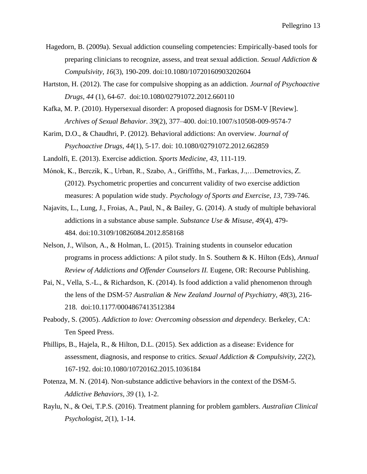- Hagedorn, B. (2009a). Sexual addiction counseling competencies: Empirically-based tools for preparing clinicians to recognize, assess, and treat sexual addiction. *Sexual Addiction & Compulsivity*, *16*(3), 190-209. doi:10.1080/10720160903202604
- Hartston, H. (2012). The case for compulsive shopping as an addiction. *Journal of Psychoactive Drugs, 44* (1), 64-67. doi:10.1080/02791072.2012.660110
- Kafka, M. P. (2010). Hypersexual disorder: A proposed diagnosis for DSM-V [Review]. *Archives of Sexual Behavior. 39*(2), 377–400. doi:10.1007/s10508-009-9574-7
- Karim, D.O., & Chaudhri, P. (2012). Behavioral addictions: An overview. *Journal of Psychoactive Drugs, 44*(1), 5-17. doi: 10.1080/02791072.2012.662859
- Landolfi, E. (2013). Exercise addiction. *Sports Medicine, 43*, 111-119.
- Mónok, K., Berczik, K., Urban, R., Szabo, A., Griffiths, M., Farkas, J.,…Demetrovics, Z. (2012). Psychometric properties and concurrent validity of two exercise addiction measures: A population wide study. *Psychology of Sports and Exercise, 13*, 739-746.
- Najavits, L., Lung, J., Froias, A., Paul, N., & Bailey, G. (2014). A study of multiple behavioral addictions in a substance abuse sample. *Substance Use & Misuse, 49*(4), 479- 484. doi:10.3109/10826084.2012.858168
- Nelson, J., Wilson, A., & Holman, L. (2015). Training students in counselor education programs in process addictions: A pilot study. In S. Southern & K. Hilton (Eds), *Annual Review of Addictions and Offender Counselors II.* Eugene, OR: Recourse Publishing.
- Pai, N., Vella, S.-L., & Richardson, K. (2014). Is food addiction a valid phenomenon through the lens of the DSM-5? *Australian & New Zealand Journal of Psychiatry, 48*(3), 216- 218. doi:10.1177/0004867413512384
- Peabody, S. (2005). *Addiction to love: Overcoming obsession and dependecy.* Berkeley, CA: Ten Speed Press.
- Phillips, B., Hajela, R., & Hilton, D.L. (2015). Sex addiction as a disease: Evidence for assessment, diagnosis, and response to critics. *Sexual Addiction & Compulsivity, 22*(2), 167-192. doi:10.1080/10720162.2015.1036184
- Potenza, M. N. (2014). Non-substance addictive behaviors in the context of the DSM-5. *Addictive Behaviors, 39* (1), 1-2.
- Raylu, N., & Oei, T.P.S. (2016). Treatment planning for problem gamblers. *Australian Clinical Psychologist, 2*(1), 1-14.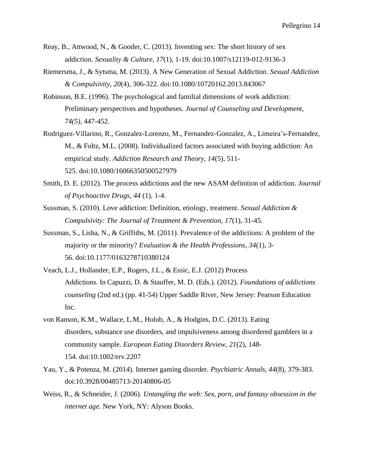- Reay, B., Attwood, N., & Gooder, C. (2013). Inventing sex: The short history of sex addiction. *Sexuality & Culture*, *17*(1), 1-19. doi:10.1007/s12119-012-9136-3
- Riemersma, J., & Sytsma, M. (2013). A New Generation of Sexual Addiction. *Sexual Addiction & Compulsivity*, *20*(4), 306-322. doi:10.1080/10720162.2013.843067
- Robinson, B.E. (1996). The psychological and familial dimensions of work addiction: Preliminary perspectives and hypotheses. *Journal of Counseling and Development, 74(5)*, 447-452.
- Rodriguez-Villarino, R., Gonzalez-Lorenzo, M., Fernandez-Gonzalez, A., Limeira's-Fernandez, M., & Foltz, M.L. (2008). Individualized factors associated with buying addiction: An empirical study. *Addiction Research and Theory, 14*(5), 511- 525. doi:10.1080/16066350500527979
- Smith, D. E. (2012). The process addictions and the new ASAM definition of addiction. *Journal of Psychoactive Drugs, 44* (1), 1-4.
- Sussman, S. (2010). Love addiction: Definition, etiology, treatment. *Sexual Addiction & Compulsivity: The Journal of Treatment & Prevention, 17*(1), 31-45.
- Sussman, S., Lisha, N., & Griffiths, M. (2011). Prevalence of the addictions: A problem of the majority or the minority? *Evaluation & the Health Professions, 34*(1), 3- 56. doi:10.1177/0163278710380124
- Veach, L.J., Hollander, E.P., Rogers, J.L., & Essic, E.J. (2012) Process Addictions. In Capuzzi, D. & Stauffer, M. D. (Eds.). (2012). *Foundations of addictions counseling* (2nd ed.) (pp. 41-54) Upper Saddle River, New Jersey: Pearson Education Inc.
- von Ranson, K.M., Wallace, L.M., Holub, A., & Hodgins, D.C. (2013). Eating disorders, substance use disorders, and impulsiveness among disordered gamblers in a community sample. *European Eating Disorders Review, 21*(2), 148- 154. doi:10.1002/erv.2207
- Yau, Y., & Potenza, M. (2014). Internet gaming disorder. *Psychiatric Annals, 44*(8), 379-383. doi:10.3928/00485713-20140806-05
- Weiss, R., & Schneider, J. (2006). *Untangling the web: Sex, porn, and fantasy obsession in the internet age.* New York, NY: Alyson Books.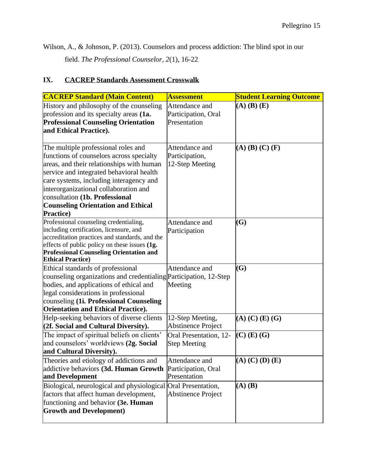Wilson, A., & Johnson, P. (2013). Counselors and process addiction: The blind spot in our field. *The Professional Counselor, 2*(1), 16-22

# **IX. CACREP Standards Assessment Crosswalk**

| <b>CACREP Standard (Main Content)</b>                                                                                                                                                                                                                                                                                                                            | <b>Assessment</b>                                     | <b>Student Learning Outcome</b> |
|------------------------------------------------------------------------------------------------------------------------------------------------------------------------------------------------------------------------------------------------------------------------------------------------------------------------------------------------------------------|-------------------------------------------------------|---------------------------------|
| History and philosophy of the counseling<br>profession and its specialty areas (1a.<br><b>Professional Counseling Orientation</b><br>and Ethical Practice).                                                                                                                                                                                                      | Attendance and<br>Participation, Oral<br>Presentation | $(A)$ $(B)$ $(E)$               |
| The multiple professional roles and<br>functions of counselors across specialty<br>areas, and their relationships with human<br>service and integrated behavioral health<br>care systems, including interagency and<br>interorganizational collaboration and<br>consultation (1b. Professional<br><b>Counseling Orientation and Ethical</b><br><b>Practice</b> ) | Attendance and<br>Participation,<br>12-Step Meeting   | $(A)$ $(B)$ $(C)$ $(F)$         |
| Professional counseling credentialing,<br>including certification, licensure, and<br>accreditation practices and standards, and the<br>effects of public policy on these issues $(1g.$<br><b>Professional Counseling Orientation and</b><br><b>Ethical Practice)</b>                                                                                             | Attendance and<br>Participation                       | (G)                             |
| Ethical standards of professional<br>counseling organizations and credentialing Participation, 12-Step<br>bodies, and applications of ethical and<br>legal considerations in professional<br>counseling (1i. Professional Counseling<br><b>Orientation and Ethical Practice).</b>                                                                                | Attendance and<br>Meeting                             | (G)                             |
| Help-seeking behaviors of diverse clients<br>(2f. Social and Cultural Diversity).                                                                                                                                                                                                                                                                                | 12-Step Meeting,<br><b>Abstinence Project</b>         | $(A)$ $(C)$ $(E)$ $(G)$         |
| The impact of spiritual beliefs on clients'<br>and counselors' worldviews (2g. Social<br>and Cultural Diversity).                                                                                                                                                                                                                                                | Oral Presentation, 12-<br><b>Step Meeting</b>         | $(C)$ (E) (G)                   |
| Theories and etiology of addictions and<br>addictive behaviors (3d. Human Growth<br>and Development                                                                                                                                                                                                                                                              | Attendance and<br>Participation, Oral<br>Presentation | $(A)$ $(C)$ $(D)$ $(E)$         |
| Biological, neurological and physiological Oral Presentation,<br>factors that affect human development,<br>functioning and behavior (3e. Human<br><b>Growth and Development)</b>                                                                                                                                                                                 | <b>Abstinence Project</b>                             | $(A)$ $(B)$                     |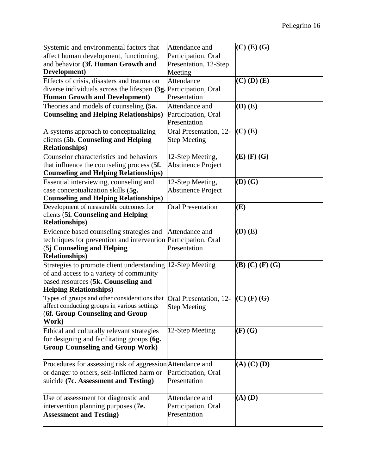| Systemic and environmental factors that                                                       | Attendance and            | $(C)$ (E) (G)       |
|-----------------------------------------------------------------------------------------------|---------------------------|---------------------|
| affect human development, functioning,                                                        | Participation, Oral       |                     |
| and behavior (3f. Human Growth and                                                            | Presentation, 12-Step     |                     |
| Development)                                                                                  | Meeting                   |                     |
| Effects of crisis, disasters and trauma on                                                    | Attendance                | $(C)$ (D) $(E)$     |
| diverse individuals across the lifespan (3g. Participation, Oral                              |                           |                     |
| <b>Human Growth and Development)</b>                                                          | Presentation              |                     |
| Theories and models of counseling (5a.                                                        | Attendance and            | $(D)$ $(E)$         |
| <b>Counseling and Helping Relationships)</b>                                                  | Participation, Oral       |                     |
|                                                                                               | Presentation              |                     |
| A systems approach to conceptualizing                                                         | Oral Presentation, 12-    | $(C)$ (E)           |
| clients (5b. Counseling and Helping                                                           | <b>Step Meeting</b>       |                     |
| <b>Relationships)</b>                                                                         |                           |                     |
| Counselor characteristics and behaviors                                                       | 12-Step Meeting,          | $(E)$ $(F)$ $(G)$   |
| that influence the counseling process (5f.                                                    | <b>Abstinence Project</b> |                     |
| <b>Counseling and Helping Relationships)</b>                                                  |                           |                     |
| Essential interviewing, counseling and                                                        | 12-Step Meeting,          | $(D)$ $(G)$         |
| case conceptualization skills (5g.                                                            | <b>Abstinence Project</b> |                     |
| <b>Counseling and Helping Relationships)</b>                                                  |                           |                     |
| Development of measurable outcomes for                                                        | <b>Oral Presentation</b>  | (E)                 |
| clients (5i. Counseling and Helping                                                           |                           |                     |
| <b>Relationships)</b>                                                                         |                           |                     |
| Evidence based counseling strategies and                                                      | Attendance and            | $(D)$ $(E)$         |
| techniques for prevention and intervention Participation, Oral                                |                           |                     |
| (5j Counseling and Helping                                                                    | Presentation              |                     |
| <b>Relationships)</b>                                                                         |                           |                     |
| Strategies to promote client understanding                                                    | 12-Step Meeting           | $(B)$ (C) $(F)$ (G) |
| of and access to a variety of community                                                       |                           |                     |
| based resources (5k. Counseling and                                                           |                           |                     |
| <b>Helping Relationships)</b>                                                                 |                           |                     |
| Types of groups and other considerations that<br>affect conducting groups in various settings | Oral Presentation, 12-    | $(C)$ (F) (G)       |
| (6f. Group Counseling and Group                                                               | <b>Step Meeting</b>       |                     |
| Work)                                                                                         |                           |                     |
| Ethical and culturally relevant strategies                                                    | 12-Step Meeting           | $(F)$ $(G)$         |
| for designing and facilitating groups (6g.                                                    |                           |                     |
| <b>Group Counseling and Group Work)</b>                                                       |                           |                     |
|                                                                                               |                           |                     |
| Procedures for assessing risk of aggression Attendance and                                    |                           | $(A)$ $(C)$ $(D)$   |
| or danger to others, self-inflicted harm or                                                   | Participation, Oral       |                     |
| suicide (7c. Assessment and Testing)                                                          | Presentation              |                     |
|                                                                                               |                           |                     |
| Use of assessment for diagnostic and                                                          | Attendance and            | $(A)$ $(D)$         |
| intervention planning purposes (7e.                                                           | Participation, Oral       |                     |
| <b>Assessment and Testing)</b>                                                                | Presentation              |                     |
|                                                                                               |                           |                     |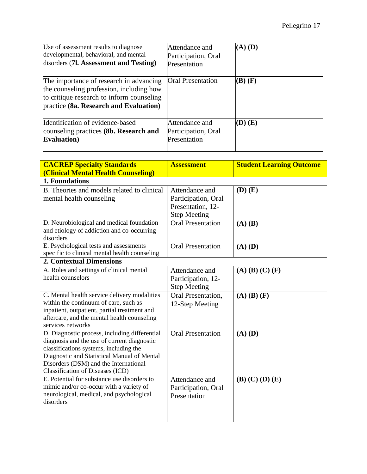| Use of assessment results to diagnose<br>developmental, behavioral, and mental<br>disorders (71. Assessment and Testing)                                                   | Attendance and<br>Participation, Oral<br>Presentation | $(A)$ $(D)$ |
|----------------------------------------------------------------------------------------------------------------------------------------------------------------------------|-------------------------------------------------------|-------------|
| The importance of research in advancing<br>the counseling profession, including how<br>to critique research to inform counseling<br>practice (8a. Research and Evaluation) | <b>Oral Presentation</b>                              | $(B)$ $(F)$ |
| Identification of evidence-based<br>counseling practices (8b. Research and<br><b>Evaluation</b> )                                                                          | Attendance and<br>Participation, Oral<br>Presentation | (D) (E)     |

| <b>CACREP Specialty Standards</b><br>(Clinical Mental Health Counseling)                                                                                                                                                                                           | <b>Assessment</b>                                                                 | <b>Student Learning Outcome</b> |
|--------------------------------------------------------------------------------------------------------------------------------------------------------------------------------------------------------------------------------------------------------------------|-----------------------------------------------------------------------------------|---------------------------------|
| 1. Foundations                                                                                                                                                                                                                                                     |                                                                                   |                                 |
| B. Theories and models related to clinical<br>mental health counseling                                                                                                                                                                                             | Attendance and<br>Participation, Oral<br>Presentation, 12-<br><b>Step Meeting</b> | $(D)$ $(E)$                     |
| D. Neurobiological and medical foundation<br>and etiology of addiction and co-occurring<br>disorders                                                                                                                                                               | <b>Oral Presentation</b>                                                          | $(A)$ $(B)$                     |
| E. Psychological tests and assessments<br>specific to clinical mental health counseling                                                                                                                                                                            | <b>Oral Presentation</b>                                                          | $(A)$ $(D)$                     |
| <b>2. Contextual Dimensions</b>                                                                                                                                                                                                                                    |                                                                                   |                                 |
| A. Roles and settings of clinical mental<br>health counselors                                                                                                                                                                                                      | Attendance and<br>Participation, 12-<br><b>Step Meeting</b>                       | $(A)$ $(B)$ $(C)$ $(F)$         |
| C. Mental health service delivery modalities<br>within the continuum of care, such as<br>inpatient, outpatient, partial treatment and<br>aftercare, and the mental health counseling<br>services networks                                                          | Oral Presentation,<br>12-Step Meeting                                             | $(A)$ $(B)$ $(F)$               |
| D. Diagnostic process, including differential<br>diagnosis and the use of current diagnostic<br>classifications systems, including the<br>Diagnostic and Statistical Manual of Mental<br>Disorders (DSM) and the International<br>Classification of Diseases (ICD) | <b>Oral Presentation</b>                                                          | $(A)$ $(D)$                     |
| E. Potential for substance use disorders to<br>mimic and/or co-occur with a variety of<br>neurological, medical, and psychological<br>disorders                                                                                                                    | Attendance and<br>Participation, Oral<br>Presentation                             | $(B)$ $(C)$ $(D)$ $(E)$         |